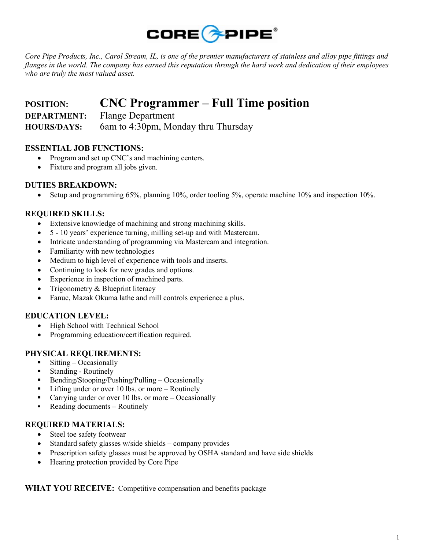

Core Pipe Products, Inc., Carol Stream, IL, is one of the premier manufacturers of stainless and alloy pipe fittings and flanges in the world. The company has earned this reputation through the hard work and dedication of their employees who are truly the most valued asset.

# POSITION: CNC Programmer – Full Time position DEPARTMENT: Flange Department

HOURS/DAYS: 6am to 4:30pm, Monday thru Thursday

# ESSENTIAL JOB FUNCTIONS:

- Program and set up CNC's and machining centers.
- Fixture and program all jobs given.

### DUTIES BREAKDOWN:

Setup and programming 65%, planning 10%, order tooling 5%, operate machine 10% and inspection 10%.

# REQUIRED SKILLS:

- Extensive knowledge of machining and strong machining skills.
- 5 10 years' experience turning, milling set-up and with Mastercam.
- Intricate understanding of programming via Mastercam and integration.
- Familiarity with new technologies
- Medium to high level of experience with tools and inserts.
- Continuing to look for new grades and options.
- Experience in inspection of machined parts.
- Trigonometry & Blueprint literacy
- Fanuc, Mazak Okuma lathe and mill controls experience a plus.

### EDUCATION LEVEL:

- High School with Technical School
- Programming education/certification required.

#### PHYSICAL REQUIREMENTS:

- $\blacksquare$  Sitting Occasionally
- Standing Routinely
- Bending/Stooping/Pushing/Pulling Occasionally
- Lifting under or over 10 lbs. or more Routinely
- Carrying under or over 10 lbs. or more Occasionally
- Reading documents Routinely

#### REQUIRED MATERIALS:

- Steel toe safety footwear
- $\bullet$  Standard safety glasses w/side shields company provides
- Prescription safety glasses must be approved by OSHA standard and have side shields
- Hearing protection provided by Core Pipe

#### WHAT YOU RECEIVE: Competitive compensation and benefits package